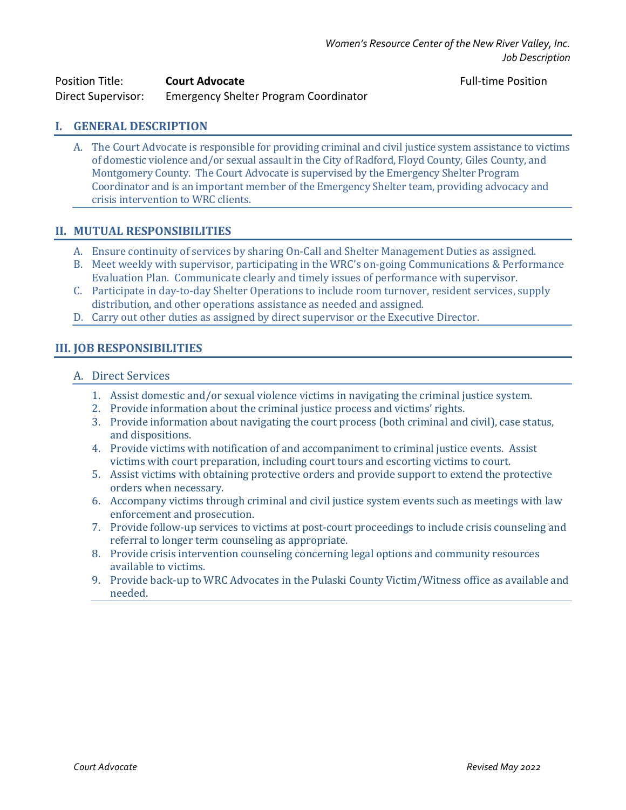| <b>Position Title:</b> | <b>Court Advocate</b>                 |
|------------------------|---------------------------------------|
| Direct Supervisor:     | Emergency Shelter Program Coordinator |

**Full-time Position** 

# **I. GENERAL DESCRIPTION**

A. The Court Advocate is responsible for providing criminal and civil justice system assistance to victims of domestic violence and/or sexual assault in the City of Radford, Floyd County, Giles County, and Montgomery County. The Court Advocate is supervised by the Emergency Shelter Program Coordinator and is an important member of the Emergency Shelter team, providing advocacy and crisis intervention to WRC clients.

### **II. MUTUAL RESPONSIBILITIES**

- A. Ensure continuity of services by sharing On-Call and Shelter Management Duties as assigned.
- B. Meet weekly with supervisor, participating in the WRC's on-going Communications & Performance Evaluation Plan. Communicate clearly and timely issues of performance with supervisor.
- C. Participate in day-to-day Shelter Operations to include room turnover, resident services, supply distribution, and other operations assistance as needed and assigned.
- D. Carry out other duties as assigned by direct supervisor or the Executive Director.

## **III. JOB RESPONSIBILITIES**

- A. Direct Services
	- 1. Assist domestic and/or sexual violence victims in navigating the criminal justice system.
	- 2. Provide information about the criminal justice process and victims' rights.
	- 3. Provide information about navigating the court process (both criminal and civil), case status, and dispositions.
	- 4. Provide victims with notification of and accompaniment to criminal justice events. Assist victims with court preparation, including court tours and escorting victims to court.
	- 5. Assist victims with obtaining protective orders and provide support to extend the protective orders when necessary.
	- 6. Accompany victims through criminal and civil justice system events such as meetings with law enforcement and prosecution.
	- 7. Provide follow-up services to victims at post-court proceedings to include crisis counseling and referral to longer term counseling as appropriate.
	- 8. Provide crisis intervention counseling concerning legal options and community resources available to victims.
	- 9. Provide back-up to WRC Advocates in the Pulaski County Victim/Witness office as available and needed.